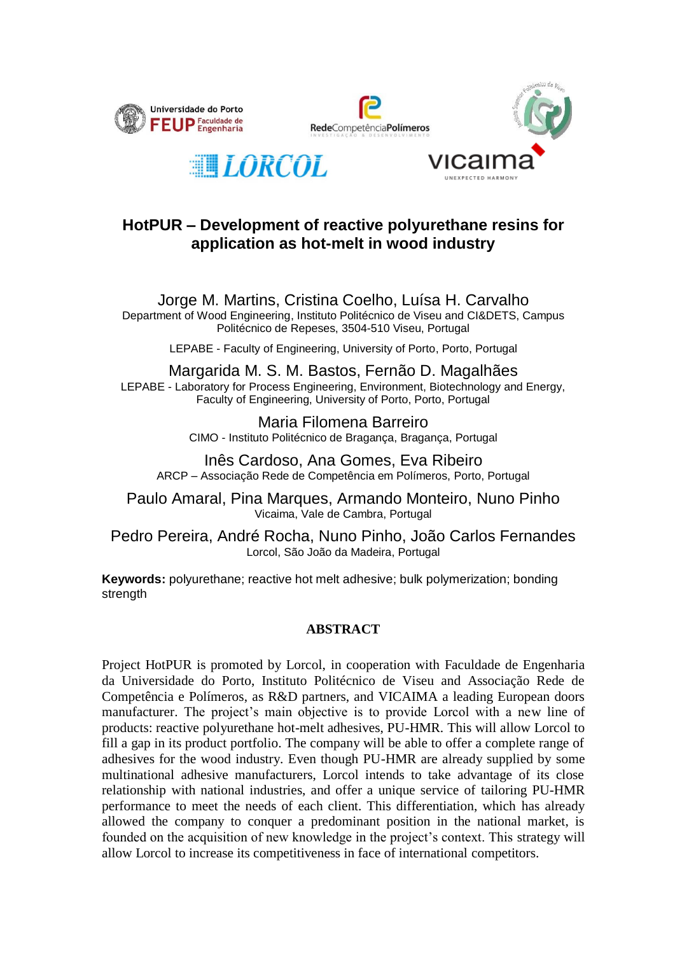







## **HotPUR – Development of reactive polyurethane resins for application as hot-melt in wood industry**

Jorge M. Martins, Cristina Coelho, Luísa H. Carvalho Department of Wood Engineering, Instituto Politécnico de Viseu and CI&DETS, Campus Politécnico de Repeses, 3504-510 Viseu, Portugal

LEPABE - Faculty of Engineering, University of Porto, Porto, Portugal

Margarida M. S. M. Bastos, Fernão D. Magalhães LEPABE - Laboratory for Process Engineering, Environment, Biotechnology and Energy, Faculty of Engineering, University of Porto, Porto, Portugal

> Maria Filomena Barreiro CIMO - Instituto Politécnico de Bragança, Bragança, Portugal

Inês Cardoso, Ana Gomes, Eva Ribeiro ARCP – Associação Rede de Competência em Polímeros, Porto, Portugal

Paulo Amaral, Pina Marques, Armando Monteiro, Nuno Pinho Vicaima, Vale de Cambra, Portugal

Pedro Pereira, André Rocha, Nuno Pinho, João Carlos Fernandes Lorcol, São João da Madeira, Portugal

**Keywords:** polyurethane; reactive hot melt adhesive; bulk polymerization; bonding strength

## **ABSTRACT**

Project HotPUR is promoted by Lorcol, in cooperation with Faculdade de Engenharia da Universidade do Porto, Instituto Politécnico de Viseu and Associação Rede de Competência e Polímeros, as R&D partners, and VICAIMA a leading European doors manufacturer. The project's main objective is to provide Lorcol with a new line of products: reactive polyurethane hot-melt adhesives, PU-HMR. This will allow Lorcol to fill a gap in its product portfolio. The company will be able to offer a complete range of adhesives for the wood industry. Even though PU-HMR are already supplied by some multinational adhesive manufacturers, Lorcol intends to take advantage of its close relationship with national industries, and offer a unique service of tailoring PU-HMR performance to meet the needs of each client. This differentiation, which has already allowed the company to conquer a predominant position in the national market, is founded on the acquisition of new knowledge in the project's context. This strategy will allow Lorcol to increase its competitiveness in face of international competitors.